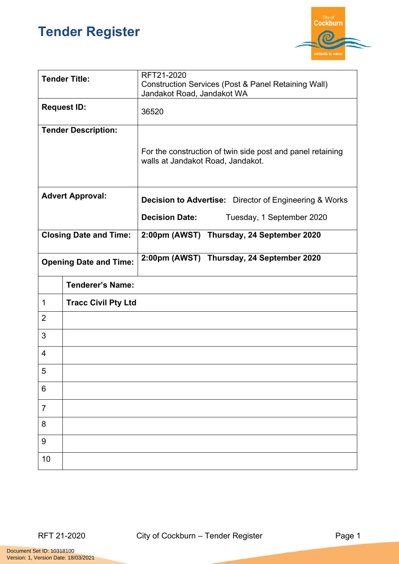## **Tender Register**



| <b>Tender Title:</b>                      |                            | RFT21-2020<br><b>Construction Services (Post &amp; Panel Retaining Wall)</b><br>Jandakot Road, Jandakot WA |  |
|-------------------------------------------|----------------------------|------------------------------------------------------------------------------------------------------------|--|
| <b>Request ID:</b>                        |                            | 36520                                                                                                      |  |
|                                           | <b>Tender Description:</b> | For the construction of twin side post and panel retaining<br>walls at Jandakot Road, Jandakot.            |  |
| <b>Advert Approval:</b>                   |                            | <b>Decision to Advertise:</b> Director of Engineering & Works                                              |  |
|                                           |                            | <b>Decision Date:</b><br>Tuesday, 1 September 2020                                                         |  |
| <b>Closing Date and Time:</b>             |                            | 2:00pm (AWST) Thursday, 24 September 2020                                                                  |  |
| <b>Opening Date and Time:</b>             |                            | 2:00pm (AWST) Thursday, 24 September 2020                                                                  |  |
|                                           | <b>Tenderer's Name:</b>    |                                                                                                            |  |
| $\mathbf 1$<br><b>Tracc Civil Pty Ltd</b> |                            |                                                                                                            |  |
| $\overline{2}$                            |                            |                                                                                                            |  |
| 3                                         |                            |                                                                                                            |  |
| $\overline{4}$                            |                            |                                                                                                            |  |
| 5                                         |                            |                                                                                                            |  |
| 6                                         |                            |                                                                                                            |  |
| $\overline{7}$                            |                            |                                                                                                            |  |
| 8                                         |                            |                                                                                                            |  |
| $9\,$                                     |                            |                                                                                                            |  |
| 10                                        |                            |                                                                                                            |  |